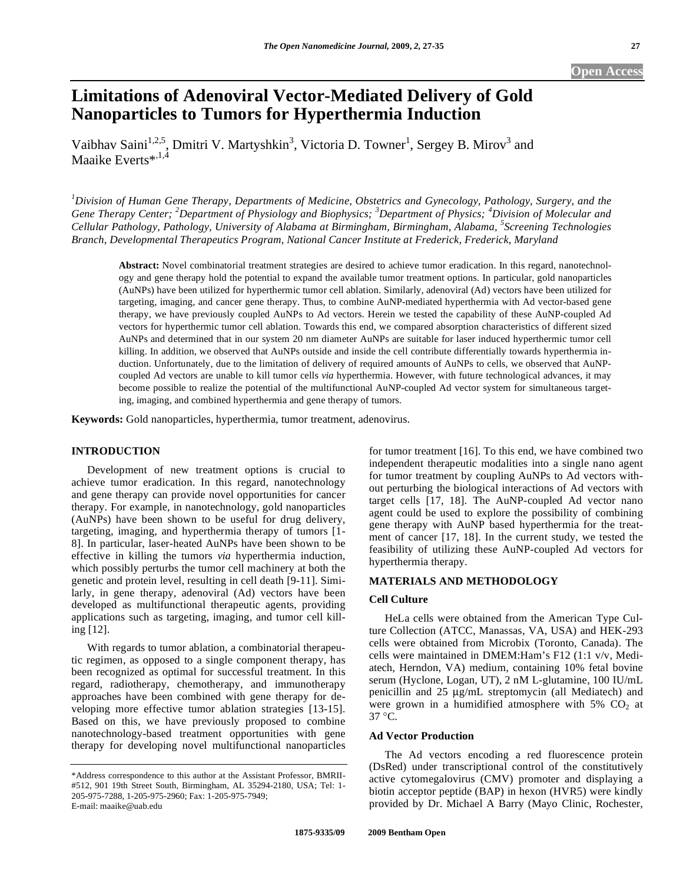# **Limitations of Adenoviral Vector-Mediated Delivery of Gold Nanoparticles to Tumors for Hyperthermia Induction**

Vaibhav Saini<sup>1,2,5</sup>, Dmitri V. Martyshkin<sup>3</sup>, Victoria D. Towner<sup>1</sup>, Sergey B. Mirov<sup>3</sup> and Maaike Everts $^{*,1,4}$ 

*1 Division of Human Gene Therapy, Departments of Medicine, Obstetrics and Gynecology, Pathology, Surgery, and the Gene Therapy Center; <sup>2</sup> Department of Physiology and Biophysics; <sup>3</sup> Department of Physics; <sup>4</sup> Division of Molecular and Cellular Pathology, Pathology, University of Alabama at Birmingham, Birmingham, Alabama, <sup>5</sup> Screening Technologies Branch, Developmental Therapeutics Program, National Cancer Institute at Frederick, Frederick, Maryland* 

**Abstract:** Novel combinatorial treatment strategies are desired to achieve tumor eradication. In this regard, nanotechnology and gene therapy hold the potential to expand the available tumor treatment options. In particular, gold nanoparticles (AuNPs) have been utilized for hyperthermic tumor cell ablation. Similarly, adenoviral (Ad) vectors have been utilized for targeting, imaging, and cancer gene therapy. Thus, to combine AuNP-mediated hyperthermia with Ad vector-based gene therapy, we have previously coupled AuNPs to Ad vectors. Herein we tested the capability of these AuNP-coupled Ad vectors for hyperthermic tumor cell ablation. Towards this end, we compared absorption characteristics of different sized AuNPs and determined that in our system 20 nm diameter AuNPs are suitable for laser induced hyperthermic tumor cell killing. In addition, we observed that AuNPs outside and inside the cell contribute differentially towards hyperthermia induction. Unfortunately, due to the limitation of delivery of required amounts of AuNPs to cells, we observed that AuNPcoupled Ad vectors are unable to kill tumor cells *via* hyperthermia. However, with future technological advances, it may become possible to realize the potential of the multifunctional AuNP-coupled Ad vector system for simultaneous targeting, imaging, and combined hyperthermia and gene therapy of tumors.

**Keywords:** Gold nanoparticles, hyperthermia, tumor treatment, adenovirus.

# **INTRODUCTION**

 Development of new treatment options is crucial to achieve tumor eradication. In this regard, nanotechnology and gene therapy can provide novel opportunities for cancer therapy. For example, in nanotechnology, gold nanoparticles (AuNPs) have been shown to be useful for drug delivery, targeting, imaging, and hyperthermia therapy of tumors [1- 8]. In particular, laser-heated AuNPs have been shown to be effective in killing the tumors *via* hyperthermia induction, which possibly perturbs the tumor cell machinery at both the genetic and protein level, resulting in cell death [9-11]. Similarly, in gene therapy, adenoviral (Ad) vectors have been developed as multifunctional therapeutic agents, providing applications such as targeting, imaging, and tumor cell killing [12].

 With regards to tumor ablation, a combinatorial therapeutic regimen, as opposed to a single component therapy, has been recognized as optimal for successful treatment. In this regard, radiotherapy, chemotherapy, and immunotherapy approaches have been combined with gene therapy for developing more effective tumor ablation strategies [13-15]. Based on this, we have previously proposed to combine nanotechnology-based treatment opportunities with gene therapy for developing novel multifunctional nanoparticles for tumor treatment [16]. To this end, we have combined two independent therapeutic modalities into a single nano agent for tumor treatment by coupling AuNPs to Ad vectors without perturbing the biological interactions of Ad vectors with target cells [17, 18]. The AuNP-coupled Ad vector nano agent could be used to explore the possibility of combining gene therapy with AuNP based hyperthermia for the treatment of cancer [17, 18]. In the current study, we tested the feasibility of utilizing these AuNP-coupled Ad vectors for hyperthermia therapy.

# **MATERIALS AND METHODOLOGY**

## **Cell Culture**

 HeLa cells were obtained from the American Type Culture Collection (ATCC, Manassas, VA, USA) and HEK-293 cells were obtained from Microbix (Toronto, Canada). The cells were maintained in DMEM:Ham's F12 (1:1 v/v, Mediatech, Herndon, VA) medium, containing 10% fetal bovine serum (Hyclone, Logan, UT), 2 nM L-glutamine, 100 IU/mL penicillin and 25 μg/mL streptomycin (all Mediatech) and were grown in a humidified atmosphere with  $5\%$  CO<sub>2</sub> at  $37 \degree C$ 

# **Ad Vector Production**

 The Ad vectors encoding a red fluorescence protein (DsRed) under transcriptional control of the constitutively active cytomegalovirus (CMV) promoter and displaying a biotin acceptor peptide (BAP) in hexon (HVR5) were kindly provided by Dr. Michael A Barry (Mayo Clinic, Rochester,

<sup>\*</sup>Address correspondence to this author at the Assistant Professor, BMRII- #512, 901 19th Street South, Birmingham, AL 35294-2180, USA; Tel: 1- 205-975-7288, 1-205-975-2960; Fax: 1-205-975-7949; E-mail: maaike@uab.edu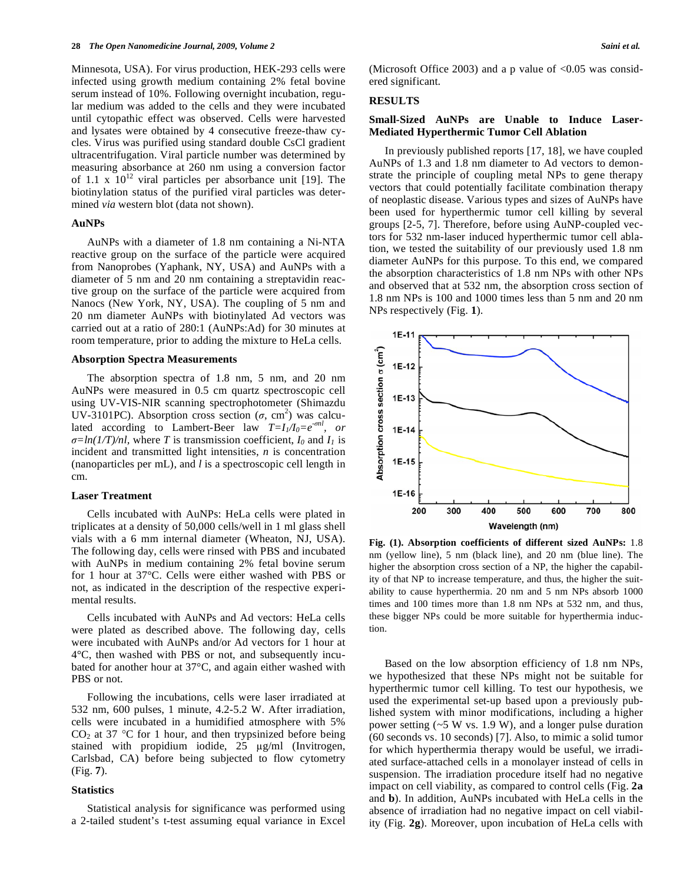Minnesota, USA). For virus production, HEK-293 cells were infected using growth medium containing 2% fetal bovine serum instead of 10%. Following overnight incubation, regular medium was added to the cells and they were incubated until cytopathic effect was observed. Cells were harvested and lysates were obtained by 4 consecutive freeze-thaw cycles. Virus was purified using standard double CsCl gradient ultracentrifugation. Viral particle number was determined by measuring absorbance at 260 nm using a conversion factor of 1.1 x  $10^{12}$  viral particles per absorbance unit [19]. The biotinylation status of the purified viral particles was determined *via* western blot (data not shown).

## **AuNPs**

 AuNPs with a diameter of 1.8 nm containing a Ni-NTA reactive group on the surface of the particle were acquired from Nanoprobes (Yaphank, NY, USA) and AuNPs with a diameter of 5 nm and 20 nm containing a streptavidin reactive group on the surface of the particle were acquired from Nanocs (New York, NY, USA). The coupling of 5 nm and 20 nm diameter AuNPs with biotinylated Ad vectors was carried out at a ratio of 280:1 (AuNPs:Ad) for 30 minutes at room temperature, prior to adding the mixture to HeLa cells.

#### **Absorption Spectra Measurements**

 The absorption spectra of 1.8 nm, 5 nm, and 20 nm AuNPs were measured in 0.5 cm quartz spectroscopic cell using UV-VIS-NIR scanning spectrophotometer (Shimazdu UV-3101PC). Absorption cross section  $(\sigma, \text{ cm}^2)$  was calculated according to Lambert-Beer law  $T=I_1/I_0=e^{-\sigma n l}$ , or  $\sigma = ln(1/T)/nl$ , where *T* is transmission coefficient,  $I_0$  and  $I_1$  is incident and transmitted light intensities, *n* is concentration (nanoparticles per mL), and *l* is a spectroscopic cell length in cm.

#### **Laser Treatment**

 Cells incubated with AuNPs: HeLa cells were plated in triplicates at a density of 50,000 cells/well in 1 ml glass shell vials with a 6 mm internal diameter (Wheaton, NJ, USA). The following day, cells were rinsed with PBS and incubated with AuNPs in medium containing 2% fetal bovine serum for 1 hour at 37°C. Cells were either washed with PBS or not, as indicated in the description of the respective experimental results.

 Cells incubated with AuNPs and Ad vectors: HeLa cells were plated as described above. The following day, cells were incubated with AuNPs and/or Ad vectors for 1 hour at 4°C, then washed with PBS or not, and subsequently incubated for another hour at 37°C, and again either washed with PBS or not.

 Following the incubations, cells were laser irradiated at 532 nm, 600 pulses, 1 minute, 4.2-5.2 W. After irradiation, cells were incubated in a humidified atmosphere with 5%  $CO<sub>2</sub>$  at 37 °C for 1 hour, and then trypsinized before being stained with propidium iodide,  $25 \text{ µg/ml}$  (Invitrogen, Carlsbad, CA) before being subjected to flow cytometry (Fig. **7**).

## **Statistics**

 Statistical analysis for significance was performed using a 2-tailed student's t-test assuming equal variance in Excel (Microsoft Office 2003) and a p value of  $\leq 0.05$  was considered significant.

# **RESULTS**

# **Small-Sized AuNPs are Unable to Induce Laser-Mediated Hyperthermic Tumor Cell Ablation**

 In previously published reports [17, 18], we have coupled AuNPs of 1.3 and 1.8 nm diameter to Ad vectors to demonstrate the principle of coupling metal NPs to gene therapy vectors that could potentially facilitate combination therapy of neoplastic disease. Various types and sizes of AuNPs have been used for hyperthermic tumor cell killing by several groups [2-5, 7]. Therefore, before using AuNP-coupled vectors for 532 nm-laser induced hyperthermic tumor cell ablation, we tested the suitability of our previously used 1.8 nm diameter AuNPs for this purpose. To this end, we compared the absorption characteristics of 1.8 nm NPs with other NPs and observed that at 532 nm, the absorption cross section of 1.8 nm NPs is 100 and 1000 times less than 5 nm and 20 nm NPs respectively (Fig. **1**).



**Fig. (1). Absorption coefficients of different sized AuNPs:** 1.8 nm (yellow line), 5 nm (black line), and 20 nm (blue line). The higher the absorption cross section of a NP, the higher the capability of that NP to increase temperature, and thus, the higher the suitability to cause hyperthermia. 20 nm and 5 nm NPs absorb 1000 times and 100 times more than 1.8 nm NPs at 532 nm, and thus, these bigger NPs could be more suitable for hyperthermia induction.

 Based on the low absorption efficiency of 1.8 nm NPs, we hypothesized that these NPs might not be suitable for hyperthermic tumor cell killing. To test our hypothesis, we used the experimental set-up based upon a previously published system with minor modifications, including a higher power setting  $(-5 \text{ W vs. } 1.9 \text{ W})$ , and a longer pulse duration (60 seconds vs. 10 seconds) [7]. Also, to mimic a solid tumor for which hyperthermia therapy would be useful, we irradiated surface-attached cells in a monolayer instead of cells in suspension. The irradiation procedure itself had no negative impact on cell viability, as compared to control cells (Fig. **2a** and **b**). In addition, AuNPs incubated with HeLa cells in the absence of irradiation had no negative impact on cell viability (Fig. **2g**). Moreover, upon incubation of HeLa cells with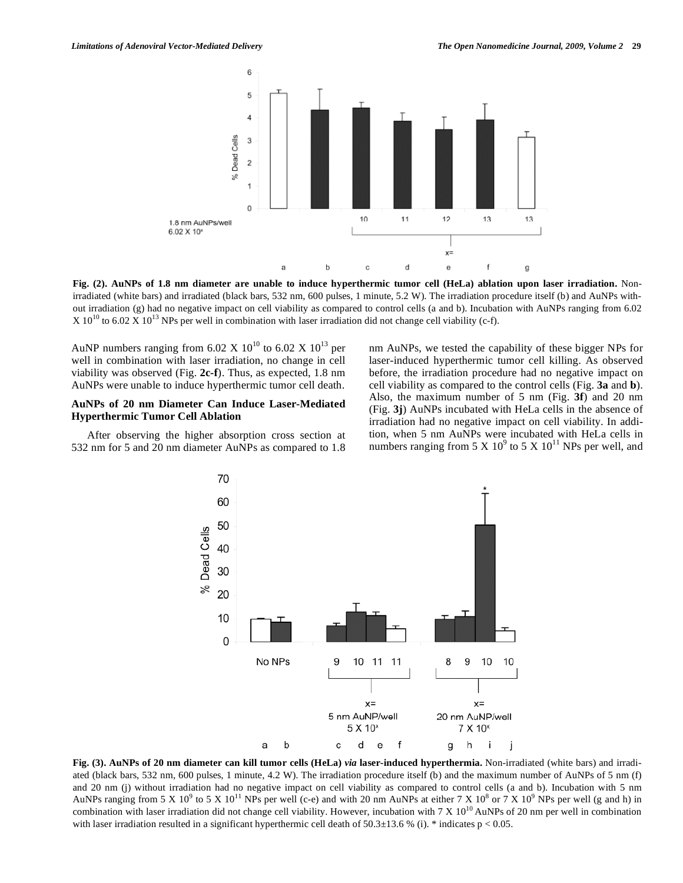

**Fig. (2). AuNPs of 1.8 nm diameter are unable to induce hyperthermic tumor cell (HeLa) ablation upon laser irradiation.** Nonirradiated (white bars) and irradiated (black bars, 532 nm, 600 pulses, 1 minute, 5.2 W). The irradiation procedure itself (b) and AuNPs without irradiation (g) had no negative impact on cell viability as compared to control cells (a and b). Incubation with AuNPs ranging from 6.02  $X 10^{10}$  to 6.02 X  $10^{13}$  NPs per well in combination with laser irradiation did not change cell viability (c-f).

AuNP numbers ranging from 6.02 X  $10^{10}$  to 6.02 X  $10^{13}$  per well in combination with laser irradiation, no change in cell viability was observed (Fig. **2c-f**). Thus, as expected, 1.8 nm AuNPs were unable to induce hyperthermic tumor cell death.

# **AuNPs of 20 nm Diameter Can Induce Laser-Mediated Hyperthermic Tumor Cell Ablation**

After observing the higher absorption cross section at 532 nm for 5 and 20 nm diameter AuNPs as compared to 1.8 nm AuNPs, we tested the capability of these bigger NPs for laser-induced hyperthermic tumor cell killing. As observed before, the irradiation procedure had no negative impact on cell viability as compared to the control cells (Fig. **3a** and **b**). Also, the maximum number of 5 nm (Fig. **3f**) and 20 nm (Fig. **3j**) AuNPs incubated with HeLa cells in the absence of irradiation had no negative impact on cell viability. In addition, when 5 nm AuNPs were incubated with HeLa cells in numbers ranging from 5 X  $10^9$  to 5 X  $10^{11}$  NPs per well, and



**Fig. (3). AuNPs of 20 nm diameter can kill tumor cells (HeLa)** *via* **laser-induced hyperthermia.** Non-irradiated (white bars) and irradiated (black bars, 532 nm, 600 pulses, 1 minute, 4.2 W). The irradiation procedure itself (b) and the maximum number of AuNPs of 5 nm (f) and 20 nm (j) without irradiation had no negative impact on cell viability as compared to control cells (a and b). Incubation with 5 nm AuNPs ranging from 5 X 10<sup>9</sup> to 5 X 10<sup>11</sup> NPs per well (c-e) and with 20 nm AuNPs at either 7 X 10<sup>8</sup> or 7 X 10<sup>9</sup> NPs per well (g and h) in combination with laser irradiation did not change cell viability. However, incubation with  $7 \times 10^{10}$  AuNPs of 20 nm per well in combination with laser irradiation resulted in a significant hyperthermic cell death of  $50.3\pm13.6$  % (i). \* indicates p < 0.05.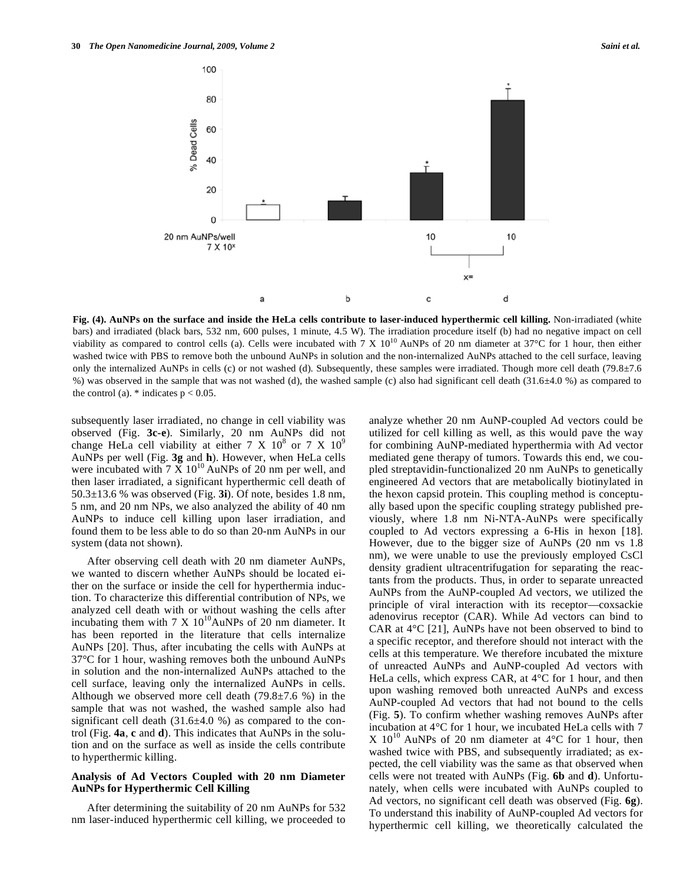

**Fig. (4). AuNPs on the surface and inside the HeLa cells contribute to laser-induced hyperthermic cell killing.** Non-irradiated (white bars) and irradiated (black bars, 532 nm, 600 pulses, 1 minute, 4.5 W). The irradiation procedure itself (b) had no negative impact on cell viability as compared to control cells (a). Cells were incubated with 7 X  $10^{10}$  AuNPs of 20 nm diameter at 37°C for 1 hour, then either washed twice with PBS to remove both the unbound AuNPs in solution and the non-internalized AuNPs attached to the cell surface, leaving only the internalized AuNPs in cells (c) or not washed (d). Subsequently, these samples were irradiated. Though more cell death (79.8±7.6 %) was observed in the sample that was not washed (d), the washed sample (c) also had significant cell death (31.6±4.0 %) as compared to the control (a).  $*$  indicates  $p < 0.05$ .

subsequently laser irradiated, no change in cell viability was observed (Fig. **3c-e**). Similarly, 20 nm AuNPs did not change HeLa cell viability at either 7 X  $10^8$  or 7 X  $10^9$ AuNPs per well (Fig. **3g** and **h**). However, when HeLa cells were incubated with  $7 \times 10^{10}$  AuNPs of 20 nm per well, and then laser irradiated, a significant hyperthermic cell death of 50.3±13.6 % was observed (Fig. **3i**). Of note, besides 1.8 nm, 5 nm, and 20 nm NPs, we also analyzed the ability of 40 nm AuNPs to induce cell killing upon laser irradiation, and found them to be less able to do so than 20-nm AuNPs in our system (data not shown).

 After observing cell death with 20 nm diameter AuNPs, we wanted to discern whether AuNPs should be located either on the surface or inside the cell for hyperthermia induction. To characterize this differential contribution of NPs, we analyzed cell death with or without washing the cells after incubating them with 7 X  $10^{10}$ AuNPs of 20 nm diameter. It has been reported in the literature that cells internalize AuNPs [20]. Thus, after incubating the cells with AuNPs at 37°C for 1 hour, washing removes both the unbound AuNPs in solution and the non-internalized AuNPs attached to the cell surface, leaving only the internalized AuNPs in cells. Although we observed more cell death  $(79.8\pm7.6\%)$  in the sample that was not washed, the washed sample also had significant cell death  $(31.6\pm4.0\%)$  as compared to the control (Fig. **4a**, **c** and **d**). This indicates that AuNPs in the solution and on the surface as well as inside the cells contribute to hyperthermic killing.

## **Analysis of Ad Vectors Coupled with 20 nm Diameter AuNPs for Hyperthermic Cell Killing**

 After determining the suitability of 20 nm AuNPs for 532 nm laser-induced hyperthermic cell killing, we proceeded to analyze whether 20 nm AuNP-coupled Ad vectors could be utilized for cell killing as well, as this would pave the way for combining AuNP-mediated hyperthermia with Ad vector mediated gene therapy of tumors. Towards this end, we coupled streptavidin-functionalized 20 nm AuNPs to genetically engineered Ad vectors that are metabolically biotinylated in the hexon capsid protein. This coupling method is conceptually based upon the specific coupling strategy published previously, where 1.8 nm Ni-NTA-AuNPs were specifically coupled to Ad vectors expressing a 6-His in hexon [18]. However, due to the bigger size of AuNPs (20 nm vs 1.8 nm), we were unable to use the previously employed CsCl density gradient ultracentrifugation for separating the reactants from the products. Thus, in order to separate unreacted AuNPs from the AuNP-coupled Ad vectors, we utilized the principle of viral interaction with its receptor—coxsackie adenovirus receptor (CAR). While Ad vectors can bind to CAR at  $4^{\circ}$ C [21], AuNPs have not been observed to bind to a specific receptor, and therefore should not interact with the cells at this temperature. We therefore incubated the mixture of unreacted AuNPs and AuNP-coupled Ad vectors with HeLa cells, which express CAR, at  $4^{\circ}$ C for 1 hour, and then upon washing removed both unreacted AuNPs and excess AuNP-coupled Ad vectors that had not bound to the cells (Fig. **5**). To confirm whether washing removes AuNPs after incubation at 4°C for 1 hour, we incubated HeLa cells with 7 X  $10^{10}$  AuNPs of 20 nm diameter at 4<sup>o</sup>C for 1 hour, then washed twice with PBS, and subsequently irradiated; as expected, the cell viability was the same as that observed when cells were not treated with AuNPs (Fig. **6b** and **d**). Unfortunately, when cells were incubated with AuNPs coupled to Ad vectors, no significant cell death was observed (Fig. **6g**). To understand this inability of AuNP-coupled Ad vectors for hyperthermic cell killing, we theoretically calculated the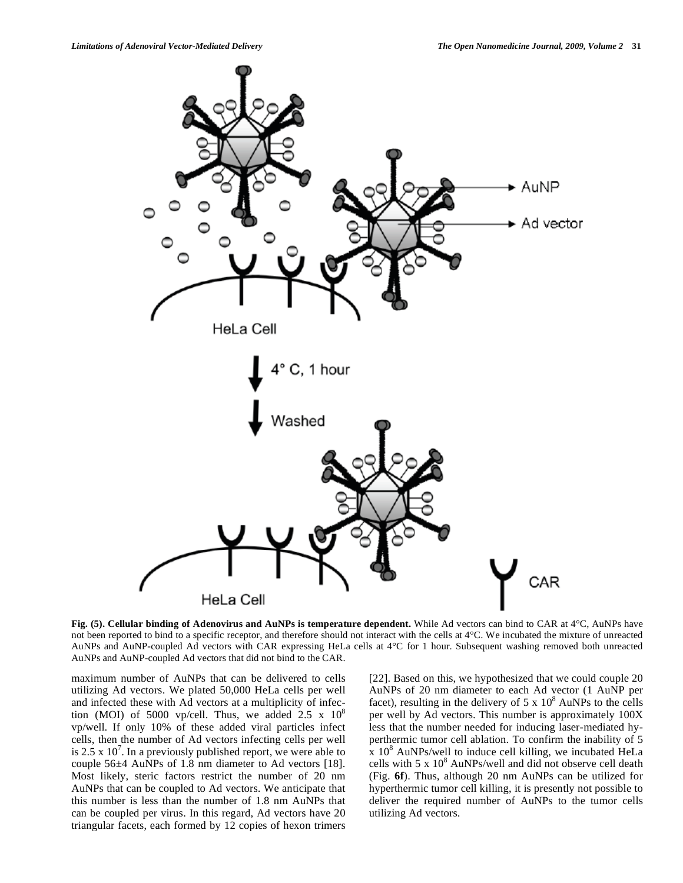

**Fig. (5). Cellular binding of Adenovirus and AuNPs is temperature dependent.** While Ad vectors can bind to CAR at 4°C, AuNPs have not been reported to bind to a specific receptor, and therefore should not interact with the cells at  $4^{\circ}$ C. We incubated the mixture of unreacted AuNPs and AuNP-coupled Ad vectors with CAR expressing HeLa cells at 4°C for 1 hour. Subsequent washing removed both unreacted AuNPs and AuNP-coupled Ad vectors that did not bind to the CAR.

maximum number of AuNPs that can be delivered to cells utilizing Ad vectors. We plated 50,000 HeLa cells per well and infected these with Ad vectors at a multiplicity of infection (MOI) of 5000 vp/cell. Thus, we added 2.5 x  $10^8$ vp/well. If only 10% of these added viral particles infect cells, then the number of Ad vectors infecting cells per well is 2.5 x  $10^7$ . In a previously published report, we were able to couple 56±4 AuNPs of 1.8 nm diameter to Ad vectors [18]. Most likely, steric factors restrict the number of 20 nm AuNPs that can be coupled to Ad vectors. We anticipate that this number is less than the number of 1.8 nm AuNPs that can be coupled per virus. In this regard, Ad vectors have 20 triangular facets, each formed by 12 copies of hexon trimers

[22]. Based on this, we hypothesized that we could couple 20 AuNPs of 20 nm diameter to each Ad vector (1 AuNP per facet), resulting in the delivery of  $5 \times 10^8$  AuNPs to the cells per well by Ad vectors. This number is approximately 100X less that the number needed for inducing laser-mediated hyperthermic tumor cell ablation. To confirm the inability of 5  $\frac{1}{x}$  10<sup>8</sup> AuNPs/well to induce cell killing, we incubated HeLa cells with  $5 \times 10^8$  AuNPs/well and did not observe cell death (Fig. **6f**). Thus, although 20 nm AuNPs can be utilized for hyperthermic tumor cell killing, it is presently not possible to deliver the required number of AuNPs to the tumor cells utilizing Ad vectors.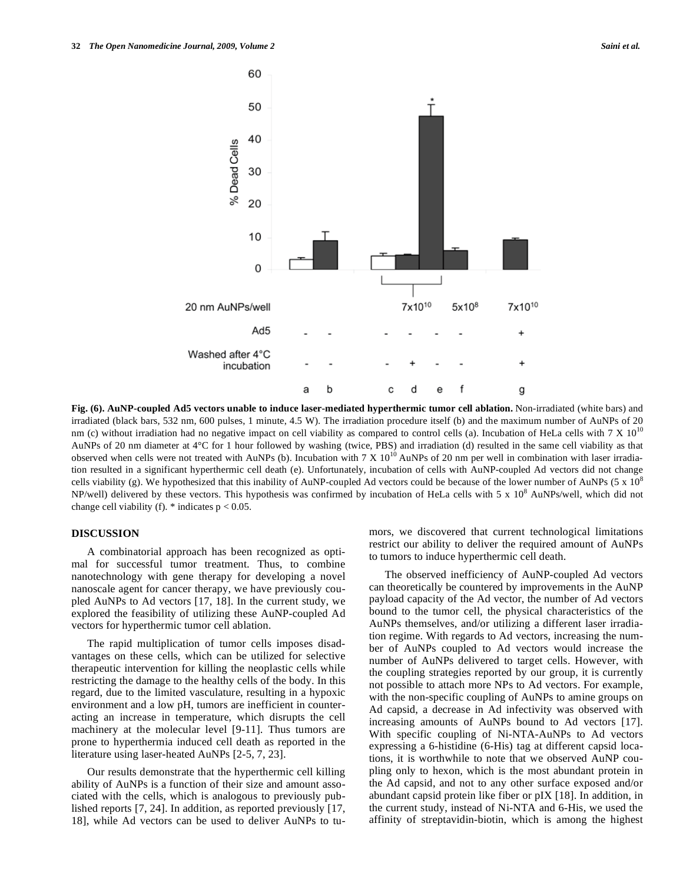

**Fig. (6). AuNP-coupled Ad5 vectors unable to induce laser-mediated hyperthermic tumor cell ablation.** Non-irradiated (white bars) and irradiated (black bars, 532 nm, 600 pulses, 1 minute, 4.5 W). The irradiation procedure itself (b) and the maximum number of AuNPs of 20 nm (c) without irradiation had no negative impact on cell viability as compared to control cells (a). Incubation of HeLa cells with  $7 \times 10^{10}$ AuNPs of 20 nm diameter at 4°C for 1 hour followed by washing (twice, PBS) and irradiation (d) resulted in the same cell viability as that observed when cells were not treated with AuNPs (b). Incubation with  $7 \times 10^{10}$  AuNPs of 20 nm per well in combination with laser irradiation resulted in a significant hyperthermic cell death (e). Unfortunately, incubation of cells with AuNP-coupled Ad vectors did not change cells viability (g). We hypothesized that this inability of AuNP-coupled Ad vectors could be because of the lower number of AuNPs (5 x  $10<sup>8</sup>$ ) NP/well) delivered by these vectors. This hypothesis was confirmed by incubation of HeLa cells with  $5 \times 10^8$  AuNPs/well, which did not change cell viability (f).  $*$  indicates  $p < 0.05$ .

# **DISCUSSION**

 A combinatorial approach has been recognized as optimal for successful tumor treatment. Thus, to combine nanotechnology with gene therapy for developing a novel nanoscale agent for cancer therapy, we have previously coupled AuNPs to Ad vectors [17, 18]. In the current study, we explored the feasibility of utilizing these AuNP-coupled Ad vectors for hyperthermic tumor cell ablation.

 The rapid multiplication of tumor cells imposes disadvantages on these cells, which can be utilized for selective therapeutic intervention for killing the neoplastic cells while restricting the damage to the healthy cells of the body. In this regard, due to the limited vasculature, resulting in a hypoxic environment and a low pH, tumors are inefficient in counteracting an increase in temperature, which disrupts the cell machinery at the molecular level [9-11]. Thus tumors are prone to hyperthermia induced cell death as reported in the literature using laser-heated AuNPs [2-5, 7, 23].

 Our results demonstrate that the hyperthermic cell killing ability of AuNPs is a function of their size and amount associated with the cells, which is analogous to previously published reports [7, 24]. In addition, as reported previously [17, 18], while Ad vectors can be used to deliver AuNPs to tumors, we discovered that current technological limitations restrict our ability to deliver the required amount of AuNPs to tumors to induce hyperthermic cell death.

 The observed inefficiency of AuNP-coupled Ad vectors can theoretically be countered by improvements in the AuNP payload capacity of the Ad vector, the number of Ad vectors bound to the tumor cell, the physical characteristics of the AuNPs themselves, and/or utilizing a different laser irradiation regime. With regards to Ad vectors, increasing the number of AuNPs coupled to Ad vectors would increase the number of AuNPs delivered to target cells. However, with the coupling strategies reported by our group, it is currently not possible to attach more NPs to Ad vectors. For example, with the non-specific coupling of AuNPs to amine groups on Ad capsid, a decrease in Ad infectivity was observed with increasing amounts of AuNPs bound to Ad vectors [17]. With specific coupling of Ni-NTA-AuNPs to Ad vectors expressing a 6-histidine (6-His) tag at different capsid locations, it is worthwhile to note that we observed AuNP coupling only to hexon, which is the most abundant protein in the Ad capsid, and not to any other surface exposed and/or abundant capsid protein like fiber or pIX [18]. In addition, in the current study, instead of Ni-NTA and 6-His, we used the affinity of streptavidin-biotin, which is among the highest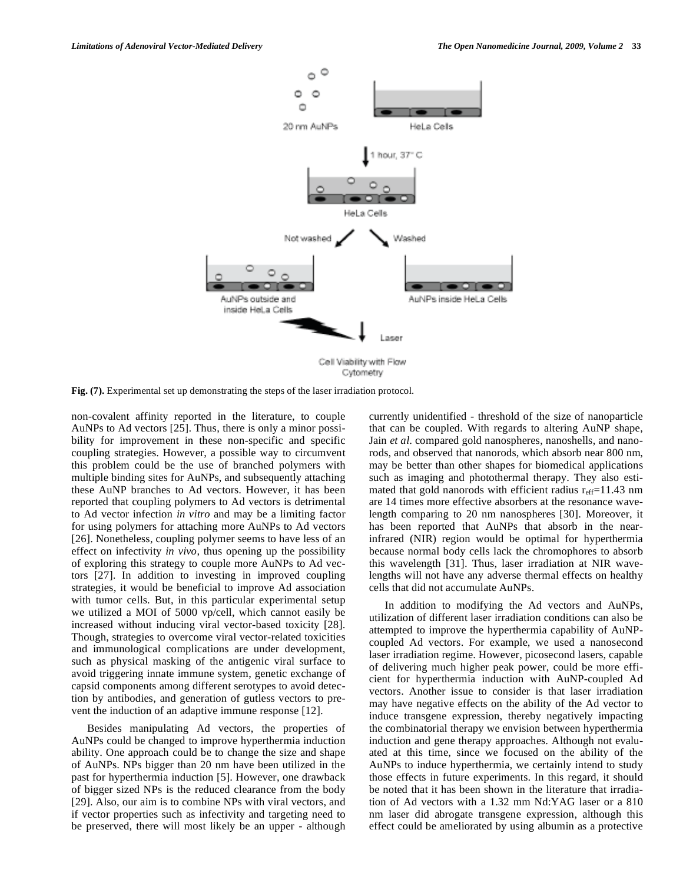

**Fig. (7).** Experimental set up demonstrating the steps of the laser irradiation protocol.

non-covalent affinity reported in the literature, to couple AuNPs to Ad vectors [25]. Thus, there is only a minor possibility for improvement in these non-specific and specific coupling strategies. However, a possible way to circumvent this problem could be the use of branched polymers with multiple binding sites for AuNPs, and subsequently attaching these AuNP branches to Ad vectors. However, it has been reported that coupling polymers to Ad vectors is detrimental to Ad vector infection *in vitro* and may be a limiting factor for using polymers for attaching more AuNPs to Ad vectors [26]. Nonetheless, coupling polymer seems to have less of an effect on infectivity *in vivo*, thus opening up the possibility of exploring this strategy to couple more AuNPs to Ad vectors [27]. In addition to investing in improved coupling strategies, it would be beneficial to improve Ad association with tumor cells. But, in this particular experimental setup we utilized a MOI of 5000 vp/cell, which cannot easily be increased without inducing viral vector-based toxicity [28]. Though, strategies to overcome viral vector-related toxicities and immunological complications are under development, such as physical masking of the antigenic viral surface to avoid triggering innate immune system, genetic exchange of capsid components among different serotypes to avoid detection by antibodies, and generation of gutless vectors to prevent the induction of an adaptive immune response [12].

 Besides manipulating Ad vectors, the properties of AuNPs could be changed to improve hyperthermia induction ability. One approach could be to change the size and shape of AuNPs. NPs bigger than 20 nm have been utilized in the past for hyperthermia induction [5]. However, one drawback of bigger sized NPs is the reduced clearance from the body [29]. Also, our aim is to combine NPs with viral vectors, and if vector properties such as infectivity and targeting need to be preserved, there will most likely be an upper - although currently unidentified - threshold of the size of nanoparticle that can be coupled. With regards to altering AuNP shape, Jain *et al*. compared gold nanospheres, nanoshells, and nanorods, and observed that nanorods, which absorb near 800 nm, may be better than other shapes for biomedical applications such as imaging and photothermal therapy. They also estimated that gold nanorods with efficient radius  $r_{\text{eff}}$ =11.43 nm are 14 times more effective absorbers at the resonance wavelength comparing to 20 nm nanospheres [30]. Moreover, it has been reported that AuNPs that absorb in the nearinfrared (NIR) region would be optimal for hyperthermia because normal body cells lack the chromophores to absorb this wavelength [31]. Thus, laser irradiation at NIR wavelengths will not have any adverse thermal effects on healthy cells that did not accumulate AuNPs.

 In addition to modifying the Ad vectors and AuNPs, utilization of different laser irradiation conditions can also be attempted to improve the hyperthermia capability of AuNPcoupled Ad vectors. For example, we used a nanosecond laser irradiation regime. However, picosecond lasers, capable of delivering much higher peak power, could be more efficient for hyperthermia induction with AuNP-coupled Ad vectors. Another issue to consider is that laser irradiation may have negative effects on the ability of the Ad vector to induce transgene expression, thereby negatively impacting the combinatorial therapy we envision between hyperthermia induction and gene therapy approaches. Although not evaluated at this time, since we focused on the ability of the AuNPs to induce hyperthermia, we certainly intend to study those effects in future experiments. In this regard, it should be noted that it has been shown in the literature that irradiation of Ad vectors with a 1.32 mm Nd:YAG laser or a 810 nm laser did abrogate transgene expression, although this effect could be ameliorated by using albumin as a protective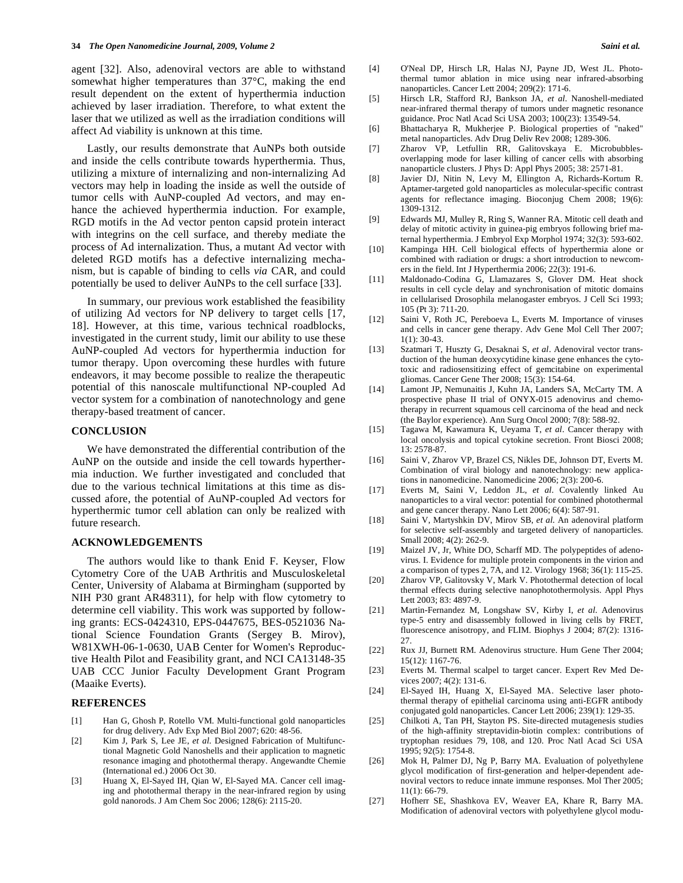agent [32]. Also, adenoviral vectors are able to withstand somewhat higher temperatures than 37°C, making the end result dependent on the extent of hyperthermia induction achieved by laser irradiation. Therefore, to what extent the laser that we utilized as well as the irradiation conditions will affect Ad viability is unknown at this time.

 Lastly, our results demonstrate that AuNPs both outside and inside the cells contribute towards hyperthermia. Thus, utilizing a mixture of internalizing and non-internalizing Ad vectors may help in loading the inside as well the outside of tumor cells with AuNP-coupled Ad vectors, and may enhance the achieved hyperthermia induction. For example, RGD motifs in the Ad vector penton capsid protein interact with integrins on the cell surface, and thereby mediate the process of Ad internalization. Thus, a mutant Ad vector with deleted RGD motifs has a defective internalizing mechanism, but is capable of binding to cells *via* CAR, and could potentially be used to deliver AuNPs to the cell surface [33].

 In summary, our previous work established the feasibility of utilizing Ad vectors for NP delivery to target cells [17, 18]. However, at this time, various technical roadblocks, investigated in the current study, limit our ability to use these AuNP-coupled Ad vectors for hyperthermia induction for tumor therapy. Upon overcoming these hurdles with future endeavors, it may become possible to realize the therapeutic potential of this nanoscale multifunctional NP-coupled Ad vector system for a combination of nanotechnology and gene therapy-based treatment of cancer.

## **CONCLUSION**

 We have demonstrated the differential contribution of the AuNP on the outside and inside the cell towards hyperthermia induction. We further investigated and concluded that due to the various technical limitations at this time as discussed afore, the potential of AuNP-coupled Ad vectors for hyperthermic tumor cell ablation can only be realized with future research.

## **ACKNOWLEDGEMENTS**

 The authors would like to thank Enid F. Keyser, Flow Cytometry Core of the UAB Arthritis and Musculoskeletal Center, University of Alabama at Birmingham (supported by NIH P30 grant AR48311), for help with flow cytometry to determine cell viability. This work was supported by following grants: ECS-0424310, EPS-0447675, BES-0521036 National Science Foundation Grants (Sergey B. Mirov), W81XWH-06-1-0630, UAB Center for Women's Reproductive Health Pilot and Feasibility grant, and NCI CA13148-35 UAB CCC Junior Faculty Development Grant Program (Maaike Everts).

### **REFERENCES**

- [1] Han G, Ghosh P, Rotello VM. Multi-functional gold nanoparticles for drug delivery. Adv Exp Med Biol 2007; 620: 48-56.
- [2] Kim J, Park S, Lee JE, *et al*. Designed Fabrication of Multifunctional Magnetic Gold Nanoshells and their application to magnetic resonance imaging and photothermal therapy. Angewandte Chemie (International ed.) 2006 Oct 30.
- [3] Huang X, El-Sayed IH, Qian W, El-Sayed MA. Cancer cell imaging and photothermal therapy in the near-infrared region by using gold nanorods. J Am Chem Soc 2006; 128(6): 2115-20.
- [4] O'Neal DP, Hirsch LR, Halas NJ, Payne JD, West JL. Photothermal tumor ablation in mice using near infrared-absorbing nanoparticles. Cancer Lett 2004; 209(2): 171-6.
- [5] Hirsch LR, Stafford RJ, Bankson JA, *et al*. Nanoshell-mediated near-infrared thermal therapy of tumors under magnetic resonance guidance. Proc Natl Acad Sci USA 2003; 100(23): 13549-54.
- [6] Bhattacharya R, Mukherjee P. Biological properties of "naked" metal nanoparticles. Adv Drug Deliv Rev 2008; 1289-306.
- [7] Zharov VP, Letfullin RR, Galitovskaya E. Microbubblesoverlapping mode for laser killing of cancer cells with absorbing nanoparticle clusters. J Phys D: Appl Phys 2005; 38: 2571-81.
- [8] Javier DJ, Nitin N, Levy M, Ellington A, Richards-Kortum R. Aptamer-targeted gold nanoparticles as molecular-specific contrast agents for reflectance imaging. Bioconjug Chem 2008; 19(6): 1309-1312.
- [9] Edwards MJ, Mulley R, Ring S, Wanner RA. Mitotic cell death and delay of mitotic activity in guinea-pig embryos following brief maternal hyperthermia. J Embryol Exp Morphol 1974; 32(3): 593-602.
- [10] Kampinga HH. Cell biological effects of hyperthermia alone or combined with radiation or drugs: a short introduction to newcomers in the field. Int J Hyperthermia 2006; 22(3): 191-6.
- [11] Maldonado-Codina G, Llamazares S, Glover DM. Heat shock results in cell cycle delay and synchronisation of mitotic domains in cellularised Drosophila melanogaster embryos. J Cell Sci 1993; 105 (Pt 3): 711-20.
- [12] Saini V, Roth JC, Pereboeva L, Everts M. Importance of viruses and cells in cancer gene therapy. Adv Gene Mol Cell Ther 2007; 1(1): 30-43.
- [13] Szatmari T, Huszty G, Desaknai S, *et al*. Adenoviral vector transduction of the human deoxycytidine kinase gene enhances the cytotoxic and radiosensitizing effect of gemcitabine on experimental gliomas. Cancer Gene Ther 2008; 15(3): 154-64.
- [14] Lamont JP, Nemunaitis J, Kuhn JA, Landers SA, McCarty TM. A prospective phase II trial of ONYX-015 adenovirus and chemotherapy in recurrent squamous cell carcinoma of the head and neck (the Baylor experience). Ann Surg Oncol 2000; 7(8): 588-92.
- [15] Tagawa M, Kawamura K, Ueyama T, *et al*. Cancer therapy with local oncolysis and topical cytokine secretion. Front Biosci 2008; 13: 2578-87.
- [16] Saini V, Zharov VP, Brazel CS, Nikles DE, Johnson DT, Everts M. Combination of viral biology and nanotechnology: new applications in nanomedicine. Nanomedicine 2006; 2(3): 200-6.
- [17] Everts M, Saini V, Leddon JL, *et al*. Covalently linked Au nanoparticles to a viral vector: potential for combined photothermal and gene cancer therapy. Nano Lett 2006; 6(4): 587-91.
- [18] Saini V, Martyshkin DV, Mirov SB, *et al*. An adenoviral platform for selective self-assembly and targeted delivery of nanoparticles. Small 2008; 4(2): 262-9.
- [19] Maizel JV, Jr, White DO, Scharff MD. The polypeptides of adenovirus. I. Evidence for multiple protein components in the virion and a comparison of types 2, 7A, and 12. Virology 1968; 36(1): 115-25.
- [20] Zharov VP, Galitovsky V, Mark V. Photothermal detection of local thermal effects during selective nanophotothermolysis. Appl Phys Lett 2003; 83: 4897-9.
- [21] Martin-Fernandez M, Longshaw SV, Kirby I, *et al*. Adenovirus type-5 entry and disassembly followed in living cells by FRET, fluorescence anisotropy, and FLIM. Biophys J 2004; 87(2): 1316- 27.
- [22] Rux JJ, Burnett RM. Adenovirus structure. Hum Gene Ther 2004; 15(12): 1167-76.
- [23] Everts M. Thermal scalpel to target cancer. Expert Rev Med Devices 2007; 4(2): 131-6.
- [24] El-Sayed IH, Huang X, El-Sayed MA. Selective laser photothermal therapy of epithelial carcinoma using anti-EGFR antibody conjugated gold nanoparticles. Cancer Lett 2006; 239(1): 129-35.
- [25] Chilkoti A, Tan PH, Stayton PS. Site-directed mutagenesis studies of the high-affinity streptavidin-biotin complex: contributions of tryptophan residues 79, 108, and 120. Proc Natl Acad Sci USA 1995; 92(5): 1754-8.
- [26] Mok H, Palmer DJ, Ng P, Barry MA. Evaluation of polyethylene glycol modification of first-generation and helper-dependent adenoviral vectors to reduce innate immune responses. Mol Ther 2005; 11(1): 66-79.
- [27] Hofherr SE, Shashkova EV, Weaver EA, Khare R, Barry MA. Modification of adenoviral vectors with polyethylene glycol modu-